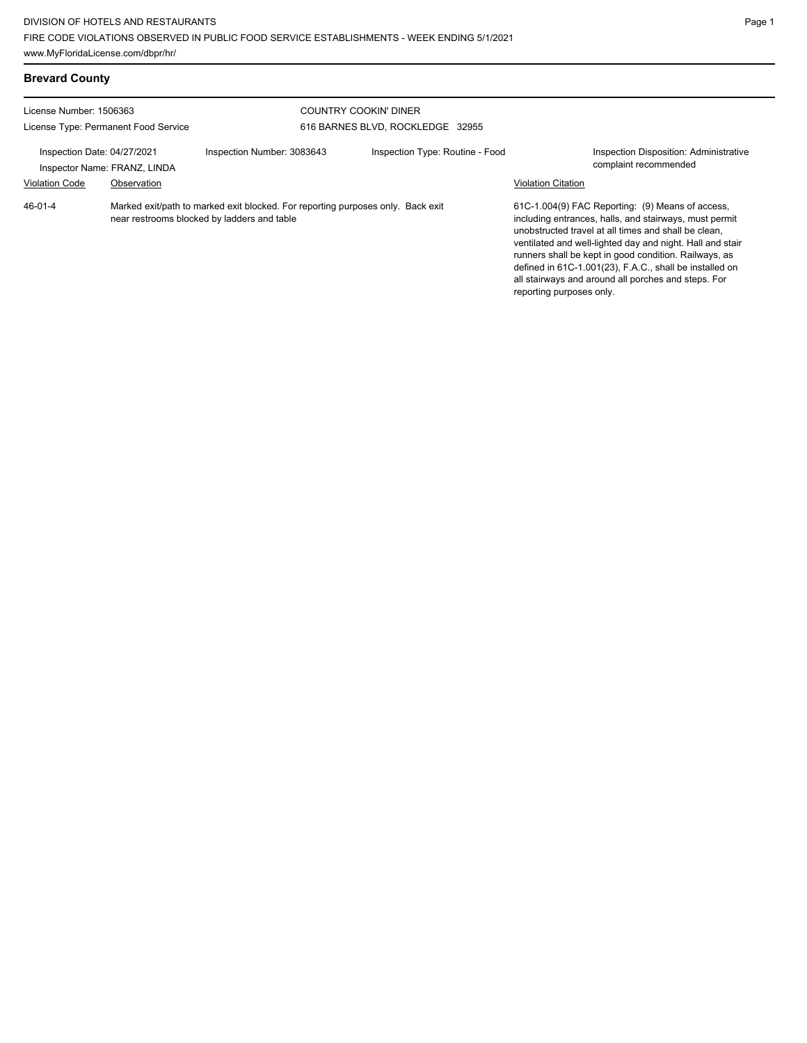| <b>Brevard County</b>                                |                                             |                                                                                                                                |                                                                  |                           |                                                                                                                                                                                                                                                                                                                                                                                                            |
|------------------------------------------------------|---------------------------------------------|--------------------------------------------------------------------------------------------------------------------------------|------------------------------------------------------------------|---------------------------|------------------------------------------------------------------------------------------------------------------------------------------------------------------------------------------------------------------------------------------------------------------------------------------------------------------------------------------------------------------------------------------------------------|
| License Number: 1506363                              | License Type: Permanent Food Service        |                                                                                                                                | <b>COUNTRY COOKIN' DINER</b><br>616 BARNES BLVD, ROCKLEDGE 32955 |                           |                                                                                                                                                                                                                                                                                                                                                                                                            |
| Inspection Date: 04/27/2021<br><b>Violation Code</b> | Inspector Name: FRANZ, LINDA<br>Observation | Inspection Number: 3083643                                                                                                     | Inspection Type: Routine - Food                                  | <b>Violation Citation</b> | <b>Inspection Disposition: Administrative</b><br>complaint recommended                                                                                                                                                                                                                                                                                                                                     |
| $46 - 01 - 4$                                        |                                             | Marked exit/path to marked exit blocked. For reporting purposes only. Back exit<br>near restrooms blocked by ladders and table |                                                                  | reporting purposes only.  | 61C-1.004(9) FAC Reporting: (9) Means of access,<br>including entrances, halls, and stairways, must permit<br>unobstructed travel at all times and shall be clean.<br>ventilated and well-lighted day and night. Hall and stair<br>runners shall be kept in good condition. Railways, as<br>defined in 61C-1.001(23), F.A.C., shall be installed on<br>all stairways and around all porches and steps. For |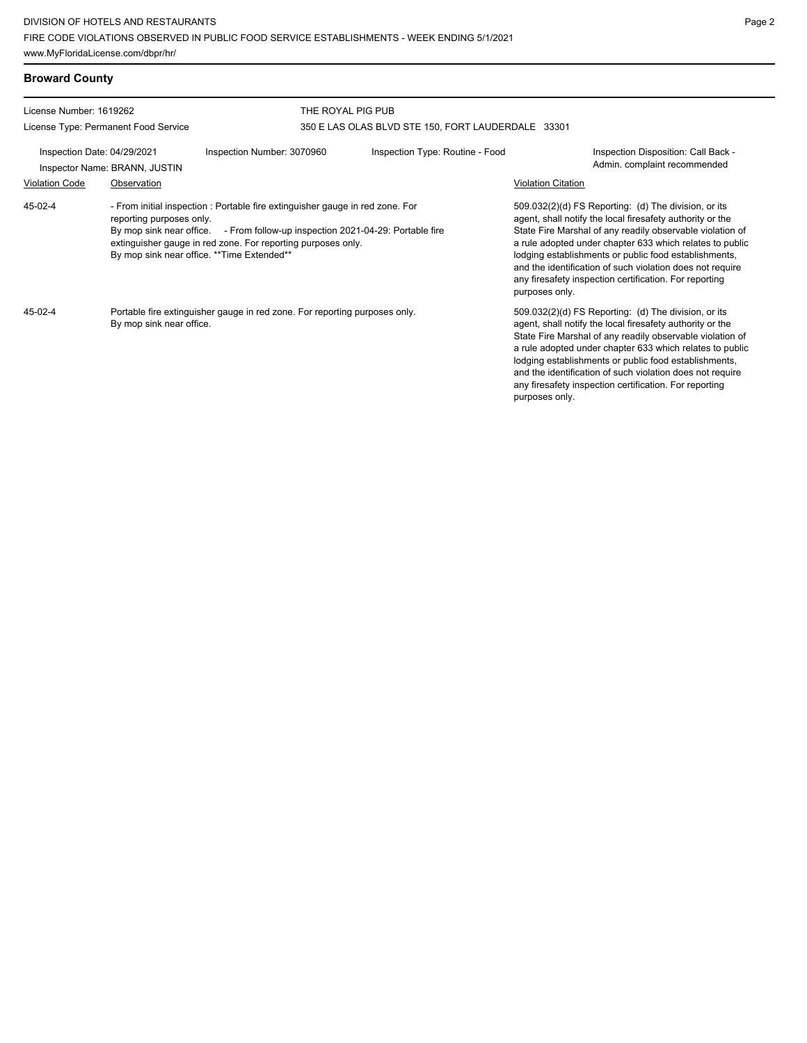| <b>Broward County</b>                                                                                                                                                                                                                                                                                                 |                                      |                            |                                                    |                                                                                                                                                                                                                                                                                                                                                                                                                            |                                                                                                                                                                                                                                                                                                                                                                                                                            |  |
|-----------------------------------------------------------------------------------------------------------------------------------------------------------------------------------------------------------------------------------------------------------------------------------------------------------------------|--------------------------------------|----------------------------|----------------------------------------------------|----------------------------------------------------------------------------------------------------------------------------------------------------------------------------------------------------------------------------------------------------------------------------------------------------------------------------------------------------------------------------------------------------------------------------|----------------------------------------------------------------------------------------------------------------------------------------------------------------------------------------------------------------------------------------------------------------------------------------------------------------------------------------------------------------------------------------------------------------------------|--|
| License Number: 1619262                                                                                                                                                                                                                                                                                               |                                      | THE ROYAL PIG PUB          |                                                    |                                                                                                                                                                                                                                                                                                                                                                                                                            |                                                                                                                                                                                                                                                                                                                                                                                                                            |  |
|                                                                                                                                                                                                                                                                                                                       | License Type: Permanent Food Service |                            | 350 E LAS OLAS BLVD STE 150, FORT LAUDERDALE 33301 |                                                                                                                                                                                                                                                                                                                                                                                                                            |                                                                                                                                                                                                                                                                                                                                                                                                                            |  |
| Inspection Date: 04/29/2021<br>Inspector Name: BRANN, JUSTIN                                                                                                                                                                                                                                                          |                                      | Inspection Number: 3070960 | Inspection Type: Routine - Food                    |                                                                                                                                                                                                                                                                                                                                                                                                                            | Inspection Disposition: Call Back -<br>Admin. complaint recommended                                                                                                                                                                                                                                                                                                                                                        |  |
| <b>Violation Code</b>                                                                                                                                                                                                                                                                                                 | Observation                          |                            |                                                    | <b>Violation Citation</b>                                                                                                                                                                                                                                                                                                                                                                                                  |                                                                                                                                                                                                                                                                                                                                                                                                                            |  |
| 45-02-4<br>- From initial inspection : Portable fire extinguisher gauge in red zone. For<br>reporting purposes only.<br>By mop sink near office. - From follow-up inspection 2021-04-29: Portable fire<br>extinguisher gauge in red zone. For reporting purposes only.<br>By mop sink near office. ** Time Extended** |                                      |                            | purposes only.                                     | 509.032(2)(d) FS Reporting: (d) The division, or its<br>agent, shall notify the local firesafety authority or the<br>State Fire Marshal of any readily observable violation of<br>a rule adopted under chapter 633 which relates to public<br>lodging establishments or public food establishments,<br>and the identification of such violation does not require<br>any firesafety inspection certification. For reporting |                                                                                                                                                                                                                                                                                                                                                                                                                            |  |
| 45-02-4<br>Portable fire extinguisher gauge in red zone. For reporting purposes only.<br>By mop sink near office.                                                                                                                                                                                                     |                                      |                            |                                                    | purposes only.                                                                                                                                                                                                                                                                                                                                                                                                             | 509.032(2)(d) FS Reporting: (d) The division, or its<br>agent, shall notify the local firesafety authority or the<br>State Fire Marshal of any readily observable violation of<br>a rule adopted under chapter 633 which relates to public<br>lodging establishments or public food establishments,<br>and the identification of such violation does not require<br>any firesafety inspection certification. For reporting |  |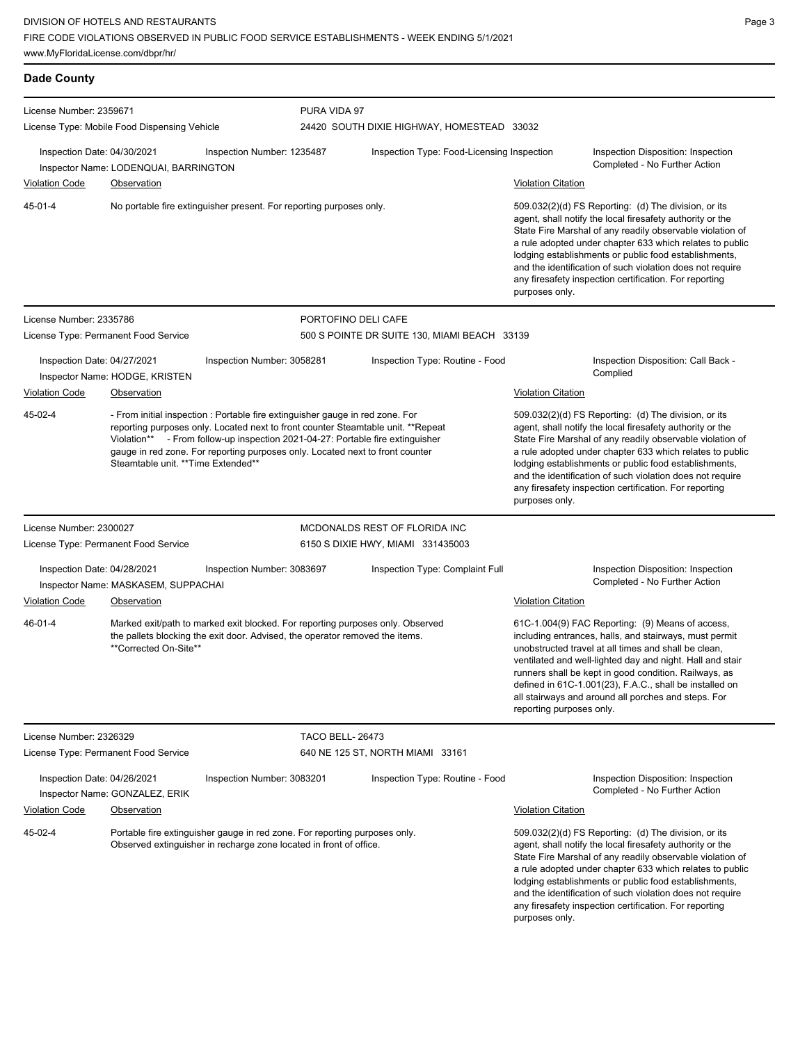| <b>Dade County</b>          |                                              |                                                                                                                                                                                                                                                                                                                                      |                                              |                           |                                                                                                                                                                                                                                                                                                                                                                                                                            |
|-----------------------------|----------------------------------------------|--------------------------------------------------------------------------------------------------------------------------------------------------------------------------------------------------------------------------------------------------------------------------------------------------------------------------------------|----------------------------------------------|---------------------------|----------------------------------------------------------------------------------------------------------------------------------------------------------------------------------------------------------------------------------------------------------------------------------------------------------------------------------------------------------------------------------------------------------------------------|
| License Number: 2359671     |                                              |                                                                                                                                                                                                                                                                                                                                      | PURA VIDA 97                                 |                           |                                                                                                                                                                                                                                                                                                                                                                                                                            |
|                             | License Type: Mobile Food Dispensing Vehicle |                                                                                                                                                                                                                                                                                                                                      | 24420 SOUTH DIXIE HIGHWAY, HOMESTEAD 33032   |                           |                                                                                                                                                                                                                                                                                                                                                                                                                            |
| Inspection Date: 04/30/2021 | Inspector Name: LODENQUAI, BARRINGTON        | Inspection Number: 1235487                                                                                                                                                                                                                                                                                                           | Inspection Type: Food-Licensing Inspection   |                           | Inspection Disposition: Inspection<br>Completed - No Further Action                                                                                                                                                                                                                                                                                                                                                        |
| <b>Violation Code</b>       | Observation                                  |                                                                                                                                                                                                                                                                                                                                      |                                              | <b>Violation Citation</b> |                                                                                                                                                                                                                                                                                                                                                                                                                            |
| $45 - 01 - 4$               |                                              | No portable fire extinguisher present. For reporting purposes only.                                                                                                                                                                                                                                                                  |                                              | purposes only.            | 509.032(2)(d) FS Reporting: (d) The division, or its<br>agent, shall notify the local firesafety authority or the<br>State Fire Marshal of any readily observable violation of<br>a rule adopted under chapter 633 which relates to public<br>lodging establishments or public food establishments,<br>and the identification of such violation does not require<br>any firesafety inspection certification. For reporting |
| License Number: 2335786     |                                              |                                                                                                                                                                                                                                                                                                                                      | PORTOFINO DELI CAFE                          |                           |                                                                                                                                                                                                                                                                                                                                                                                                                            |
|                             | License Type: Permanent Food Service         |                                                                                                                                                                                                                                                                                                                                      | 500 S POINTE DR SUITE 130, MIAMI BEACH 33139 |                           |                                                                                                                                                                                                                                                                                                                                                                                                                            |
| Inspection Date: 04/27/2021 | Inspector Name: HODGE, KRISTEN               | Inspection Number: 3058281                                                                                                                                                                                                                                                                                                           | Inspection Type: Routine - Food              |                           | Inspection Disposition: Call Back -<br>Complied                                                                                                                                                                                                                                                                                                                                                                            |
| Violation Code              | Observation                                  |                                                                                                                                                                                                                                                                                                                                      |                                              | Violation Citation        |                                                                                                                                                                                                                                                                                                                                                                                                                            |
| 45-02-4                     | Steamtable unit. ** Time Extended**          | - From initial inspection : Portable fire extinguisher gauge in red zone. For<br>reporting purposes only. Located next to front counter Steamtable unit. **Repeat<br>Violation** - From follow-up inspection 2021-04-27: Portable fire extinguisher<br>gauge in red zone. For reporting purposes only. Located next to front counter |                                              | purposes only.            | 509.032(2)(d) FS Reporting: (d) The division, or its<br>agent, shall notify the local firesafety authority or the<br>State Fire Marshal of any readily observable violation of<br>a rule adopted under chapter 633 which relates to public<br>lodging establishments or public food establishments,<br>and the identification of such violation does not require<br>any firesafety inspection certification. For reporting |
| License Number: 2300027     |                                              |                                                                                                                                                                                                                                                                                                                                      | MCDONALDS REST OF FLORIDA INC                |                           |                                                                                                                                                                                                                                                                                                                                                                                                                            |
|                             | License Type: Permanent Food Service         |                                                                                                                                                                                                                                                                                                                                      | 6150 S DIXIE HWY, MIAMI 331435003            |                           |                                                                                                                                                                                                                                                                                                                                                                                                                            |
| Inspection Date: 04/28/2021 | Inspector Name: MASKASEM, SUPPACHAI          | Inspection Number: 3083697                                                                                                                                                                                                                                                                                                           | Inspection Type: Complaint Full              |                           | Inspection Disposition: Inspection<br>Completed - No Further Action                                                                                                                                                                                                                                                                                                                                                        |
| <b>Violation Code</b>       | <b>Observation</b>                           |                                                                                                                                                                                                                                                                                                                                      |                                              | <b>Violation Citation</b> |                                                                                                                                                                                                                                                                                                                                                                                                                            |
| $46 - 01 - 4$               | **Corrected On-Site**                        | Marked exit/path to marked exit blocked. For reporting purposes only. Observed<br>the pallets blocking the exit door. Advised, the operator removed the items.                                                                                                                                                                       |                                              | reporting purposes only.  | 61C-1.004(9) FAC Reporting: (9) Means of access,<br>including entrances, halls, and stairways, must permit<br>unobstructed travel at all times and shall be clean,<br>ventilated and well-lighted day and night. Hall and stair<br>runners shall be kept in good condition. Railways, as<br>defined in 61C-1.001(23), F.A.C., shall be installed on<br>all stairways and around all porches and steps. For                 |
| License Number: 2326329     |                                              |                                                                                                                                                                                                                                                                                                                                      | <b>TACO BELL-26473</b>                       |                           |                                                                                                                                                                                                                                                                                                                                                                                                                            |
|                             | License Type: Permanent Food Service         |                                                                                                                                                                                                                                                                                                                                      | 640 NE 125 ST, NORTH MIAMI 33161             |                           |                                                                                                                                                                                                                                                                                                                                                                                                                            |
| Inspection Date: 04/26/2021 | Inspector Name: GONZALEZ, ERIK               | Inspection Number: 3083201                                                                                                                                                                                                                                                                                                           | Inspection Type: Routine - Food              |                           | Inspection Disposition: Inspection<br>Completed - No Further Action                                                                                                                                                                                                                                                                                                                                                        |
| <b>Violation Code</b>       | Observation                                  |                                                                                                                                                                                                                                                                                                                                      |                                              | <b>Violation Citation</b> |                                                                                                                                                                                                                                                                                                                                                                                                                            |
| 45-02-4                     |                                              | Portable fire extinguisher gauge in red zone. For reporting purposes only.<br>Observed extinguisher in recharge zone located in front of office.                                                                                                                                                                                     |                                              | purposes only.            | 509.032(2)(d) FS Reporting: (d) The division, or its<br>agent, shall notify the local firesafety authority or the<br>State Fire Marshal of any readily observable violation of<br>a rule adopted under chapter 633 which relates to public<br>lodging establishments or public food establishments,<br>and the identification of such violation does not require<br>any firesafety inspection certification. For reporting |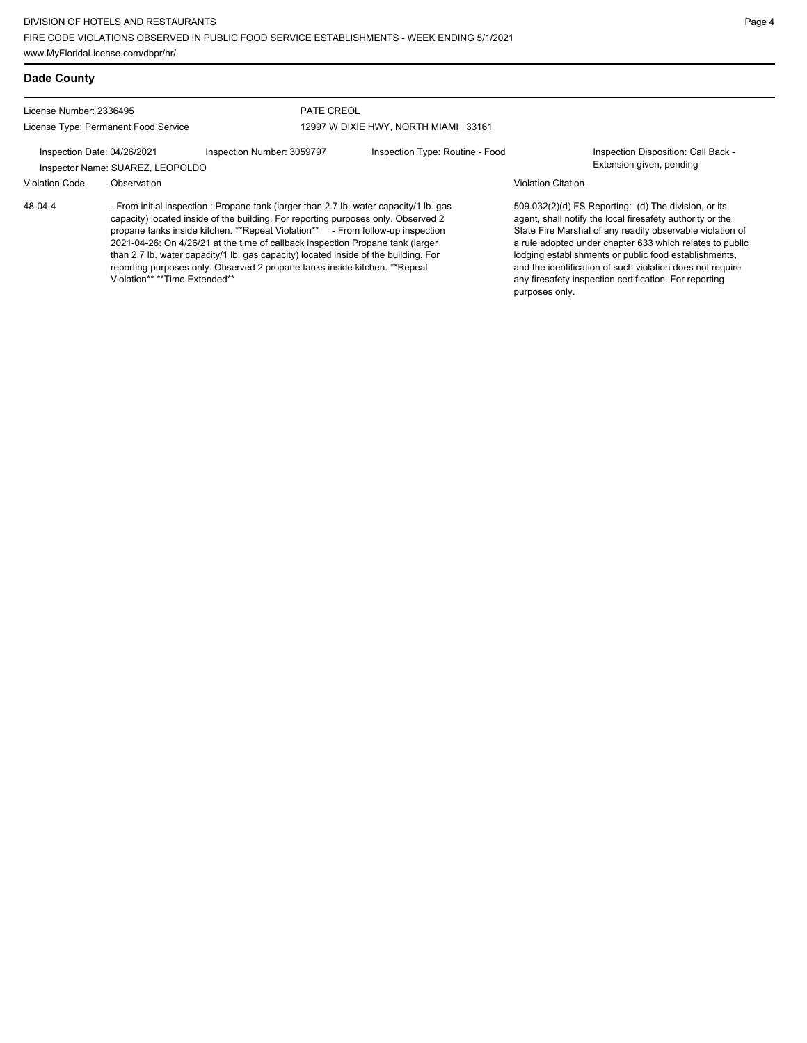## **Dade County**

48-04-4

License Number: 2336495

License Type: Permanent Food Service

### PATE CREOL 12997 W DIXIE HWY, NORTH MIAMI 33161

Inspection Date: 04/26/2021 Inspection Number: 3059797 Inspection Type: Routine - Food Inspection Disposition: Call Back -Inspector Name: SUAREZ, LEOPOLDO **Extension given, pending** 

# Violation Code Observation Violation Citation

- From initial inspection : Propane tank (larger than 2.7 lb. water capacity/1 lb. gas capacity) located inside of the building. For reporting purposes only. Observed 2 propane tanks inside kitchen. \*\*Repeat Violation\*\* From follow-up inspection 2021-04-26: On 4/26/21 at the time of callback inspection Propane tank (larger than 2.7 lb. water capacity/1 lb. gas capacity) located inside of the building. For reporting purposes only. Observed 2 propane tanks inside kitchen. \*\*Repeat Violation\*\* \*\*Time Extended\*\*

509.032(2)(d) FS Reporting: (d) The division, or its agent, shall notify the local firesafety authority or the State Fire Marshal of any readily observable violation of a rule adopted under chapter 633 which relates to public lodging establishments or public food establishments, and the identification of such violation does not require any firesafety inspection certification. For reporting purposes only.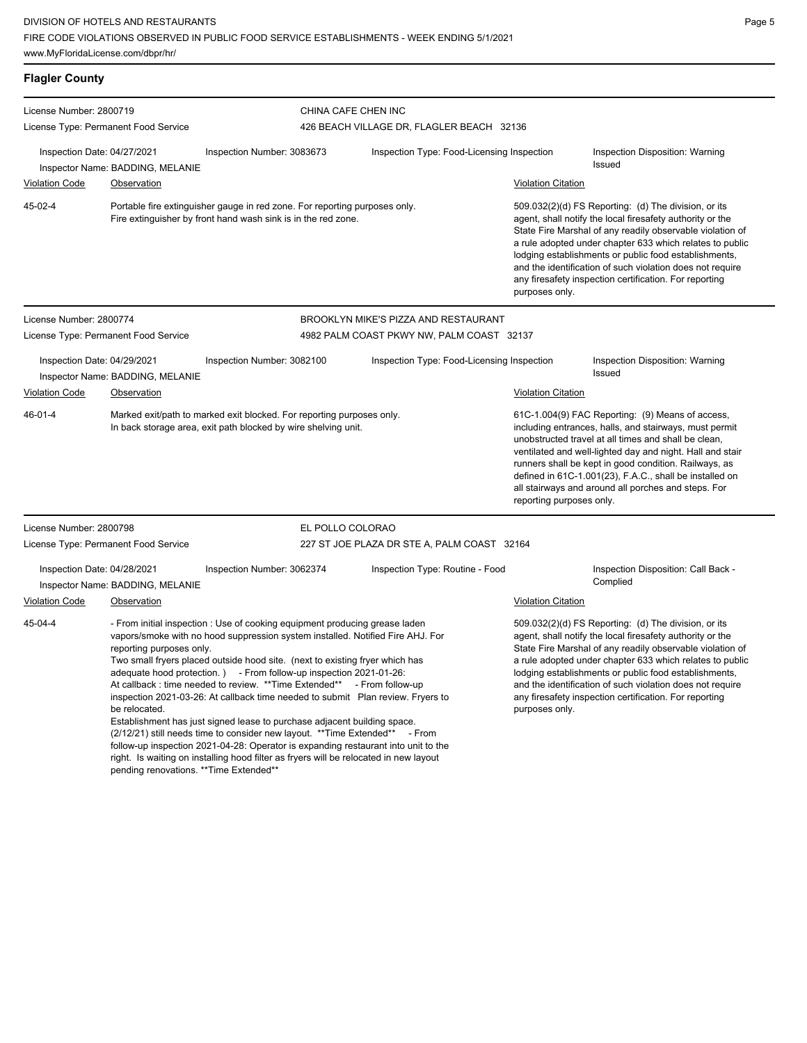| <b>Flagler County</b>                                                                                                                                    |                                                                                      |                                                                                                                                                                                                                                                                                                                                                                                                                                                                                                                                                                                                                                                                                                                                                                                                              |                                             |                           |                                                                                                                                                                                                                                                                                                                                                                                                                                        |
|----------------------------------------------------------------------------------------------------------------------------------------------------------|--------------------------------------------------------------------------------------|--------------------------------------------------------------------------------------------------------------------------------------------------------------------------------------------------------------------------------------------------------------------------------------------------------------------------------------------------------------------------------------------------------------------------------------------------------------------------------------------------------------------------------------------------------------------------------------------------------------------------------------------------------------------------------------------------------------------------------------------------------------------------------------------------------------|---------------------------------------------|---------------------------|----------------------------------------------------------------------------------------------------------------------------------------------------------------------------------------------------------------------------------------------------------------------------------------------------------------------------------------------------------------------------------------------------------------------------------------|
| License Number: 2800719                                                                                                                                  |                                                                                      |                                                                                                                                                                                                                                                                                                                                                                                                                                                                                                                                                                                                                                                                                                                                                                                                              | CHINA CAFE CHEN INC                         |                           |                                                                                                                                                                                                                                                                                                                                                                                                                                        |
| License Type: Permanent Food Service                                                                                                                     |                                                                                      |                                                                                                                                                                                                                                                                                                                                                                                                                                                                                                                                                                                                                                                                                                                                                                                                              | 426 BEACH VILLAGE DR, FLAGLER BEACH 32136   |                           |                                                                                                                                                                                                                                                                                                                                                                                                                                        |
| Inspection Date: 04/27/2021                                                                                                                              | Inspector Name: BADDING, MELANIE                                                     | Inspection Number: 3083673                                                                                                                                                                                                                                                                                                                                                                                                                                                                                                                                                                                                                                                                                                                                                                                   | Inspection Type: Food-Licensing Inspection  |                           | Inspection Disposition: Warning<br>Issued                                                                                                                                                                                                                                                                                                                                                                                              |
| <b>Violation Code</b>                                                                                                                                    | Observation                                                                          |                                                                                                                                                                                                                                                                                                                                                                                                                                                                                                                                                                                                                                                                                                                                                                                                              |                                             | <b>Violation Citation</b> |                                                                                                                                                                                                                                                                                                                                                                                                                                        |
| 45-02-4                                                                                                                                                  |                                                                                      | Portable fire extinguisher gauge in red zone. For reporting purposes only.<br>Fire extinguisher by front hand wash sink is in the red zone.                                                                                                                                                                                                                                                                                                                                                                                                                                                                                                                                                                                                                                                                  |                                             | purposes only.            | 509.032(2)(d) FS Reporting: (d) The division, or its<br>agent, shall notify the local firesafety authority or the<br>State Fire Marshal of any readily observable violation of<br>a rule adopted under chapter 633 which relates to public<br>lodging establishments or public food establishments,<br>and the identification of such violation does not require<br>any firesafety inspection certification. For reporting             |
| License Number: 2800774                                                                                                                                  |                                                                                      |                                                                                                                                                                                                                                                                                                                                                                                                                                                                                                                                                                                                                                                                                                                                                                                                              | BROOKLYN MIKE'S PIZZA AND RESTAURANT        |                           |                                                                                                                                                                                                                                                                                                                                                                                                                                        |
|                                                                                                                                                          | License Type: Permanent Food Service                                                 |                                                                                                                                                                                                                                                                                                                                                                                                                                                                                                                                                                                                                                                                                                                                                                                                              | 4982 PALM COAST PKWY NW, PALM COAST 32137   |                           |                                                                                                                                                                                                                                                                                                                                                                                                                                        |
| Inspection Date: 04/29/2021                                                                                                                              | Inspector Name: BADDING, MELANIE                                                     | Inspection Number: 3082100                                                                                                                                                                                                                                                                                                                                                                                                                                                                                                                                                                                                                                                                                                                                                                                   | Inspection Type: Food-Licensing Inspection  |                           | Inspection Disposition: Warning<br>Issued                                                                                                                                                                                                                                                                                                                                                                                              |
| <b>Violation Code</b>                                                                                                                                    | Observation                                                                          |                                                                                                                                                                                                                                                                                                                                                                                                                                                                                                                                                                                                                                                                                                                                                                                                              |                                             | <b>Violation Citation</b> |                                                                                                                                                                                                                                                                                                                                                                                                                                        |
| $46 - 01 - 4$<br>Marked exit/path to marked exit blocked. For reporting purposes only.<br>In back storage area, exit path blocked by wire shelving unit. |                                                                                      |                                                                                                                                                                                                                                                                                                                                                                                                                                                                                                                                                                                                                                                                                                                                                                                                              |                                             |                           | 61C-1.004(9) FAC Reporting: (9) Means of access,<br>including entrances, halls, and stairways, must permit<br>unobstructed travel at all times and shall be clean,<br>ventilated and well-lighted day and night. Hall and stair<br>runners shall be kept in good condition. Railways, as<br>defined in 61C-1.001(23), F.A.C., shall be installed on<br>all stairways and around all porches and steps. For<br>reporting purposes only. |
| License Number: 2800798                                                                                                                                  |                                                                                      | EL POLLO COLORAO                                                                                                                                                                                                                                                                                                                                                                                                                                                                                                                                                                                                                                                                                                                                                                                             |                                             |                           |                                                                                                                                                                                                                                                                                                                                                                                                                                        |
| License Type: Permanent Food Service                                                                                                                     |                                                                                      |                                                                                                                                                                                                                                                                                                                                                                                                                                                                                                                                                                                                                                                                                                                                                                                                              | 227 ST JOE PLAZA DR STE A, PALM COAST 32164 |                           |                                                                                                                                                                                                                                                                                                                                                                                                                                        |
| Inspection Date: 04/28/2021                                                                                                                              | Inspector Name: BADDING, MELANIE                                                     | Inspection Number: 3062374                                                                                                                                                                                                                                                                                                                                                                                                                                                                                                                                                                                                                                                                                                                                                                                   | Inspection Type: Routine - Food             |                           | Inspection Disposition: Call Back -<br>Complied                                                                                                                                                                                                                                                                                                                                                                                        |
| <b>Violation Code</b>                                                                                                                                    | Observation                                                                          |                                                                                                                                                                                                                                                                                                                                                                                                                                                                                                                                                                                                                                                                                                                                                                                                              |                                             | <b>Violation Citation</b> |                                                                                                                                                                                                                                                                                                                                                                                                                                        |
| 45-04-4                                                                                                                                                  | reporting purposes only.<br>be relocated.<br>pending renovations. ** Time Extended** | - From initial inspection : Use of cooking equipment producing grease laden<br>vapors/smoke with no hood suppression system installed. Notified Fire AHJ. For<br>Two small fryers placed outside hood site. (next to existing fryer which has<br>adequate hood protection. ) - From follow-up inspection 2021-01-26:<br>At callback : time needed to review. ** Time Extended**<br>inspection 2021-03-26: At callback time needed to submit Plan review. Fryers to<br>Establishment has just signed lease to purchase adjacent building space.<br>(2/12/21) still needs time to consider new layout. **Time Extended** - From<br>follow-up inspection 2021-04-28: Operator is expanding restaurant into unit to the<br>right. Is waiting on installing hood filter as fryers will be relocated in new layout | - From follow-up                            | purposes only.            | 509.032(2)(d) FS Reporting: (d) The division, or its<br>agent, shall notify the local firesafety authority or the<br>State Fire Marshal of any readily observable violation of<br>a rule adopted under chapter 633 which relates to public<br>lodging establishments or public food establishments,<br>and the identification of such violation does not require<br>any firesafety inspection certification. For reporting             |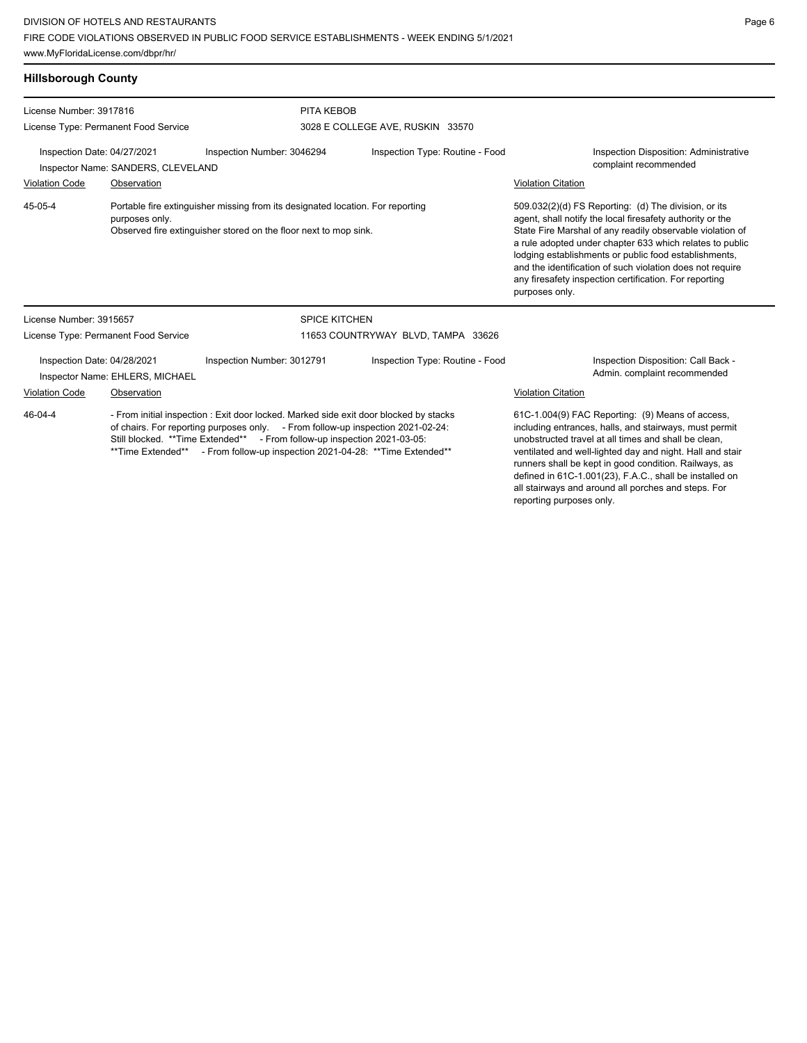| <b>Hillsborough County</b>                                                                                                                                                      |                                      |                                                                                                                                                                                                                                                                                                                   |                                    |                                                                                                                                                                                                                                                                                                                                                                                                                                              |
|---------------------------------------------------------------------------------------------------------------------------------------------------------------------------------|--------------------------------------|-------------------------------------------------------------------------------------------------------------------------------------------------------------------------------------------------------------------------------------------------------------------------------------------------------------------|------------------------------------|----------------------------------------------------------------------------------------------------------------------------------------------------------------------------------------------------------------------------------------------------------------------------------------------------------------------------------------------------------------------------------------------------------------------------------------------|
| License Number: 3917816                                                                                                                                                         |                                      | PITA KEBOB                                                                                                                                                                                                                                                                                                        |                                    |                                                                                                                                                                                                                                                                                                                                                                                                                                              |
|                                                                                                                                                                                 | License Type: Permanent Food Service |                                                                                                                                                                                                                                                                                                                   | 3028 E COLLEGE AVE, RUSKIN 33570   |                                                                                                                                                                                                                                                                                                                                                                                                                                              |
| Inspection Date: 04/27/2021                                                                                                                                                     | Inspector Name: SANDERS, CLEVELAND   | Inspection Number: 3046294                                                                                                                                                                                                                                                                                        | Inspection Type: Routine - Food    | Inspection Disposition: Administrative<br>complaint recommended                                                                                                                                                                                                                                                                                                                                                                              |
| <b>Violation Code</b>                                                                                                                                                           | Observation                          |                                                                                                                                                                                                                                                                                                                   |                                    | <b>Violation Citation</b>                                                                                                                                                                                                                                                                                                                                                                                                                    |
| 45-05-4<br>Portable fire extinguisher missing from its designated location. For reporting<br>purposes only.<br>Observed fire extinguisher stored on the floor next to mop sink. |                                      |                                                                                                                                                                                                                                                                                                                   |                                    | 509.032(2)(d) FS Reporting: (d) The division, or its<br>agent, shall notify the local firesafety authority or the<br>State Fire Marshal of any readily observable violation of<br>a rule adopted under chapter 633 which relates to public<br>lodging establishments or public food establishments,<br>and the identification of such violation does not require<br>any firesafety inspection certification. For reporting<br>purposes only. |
| License Number: 3915657                                                                                                                                                         |                                      |                                                                                                                                                                                                                                                                                                                   | <b>SPICE KITCHEN</b>               |                                                                                                                                                                                                                                                                                                                                                                                                                                              |
|                                                                                                                                                                                 | License Type: Permanent Food Service |                                                                                                                                                                                                                                                                                                                   | 11653 COUNTRYWAY BLVD, TAMPA 33626 |                                                                                                                                                                                                                                                                                                                                                                                                                                              |
| Inspection Date: 04/28/2021                                                                                                                                                     | Inspector Name: EHLERS, MICHAEL      | Inspection Number: 3012791                                                                                                                                                                                                                                                                                        | Inspection Type: Routine - Food    | Inspection Disposition: Call Back -<br>Admin. complaint recommended                                                                                                                                                                                                                                                                                                                                                                          |
| Violation Code                                                                                                                                                                  | Observation                          |                                                                                                                                                                                                                                                                                                                   | <b>Violation Citation</b>          |                                                                                                                                                                                                                                                                                                                                                                                                                                              |
| 46-04-4                                                                                                                                                                         | **Time Extended**                    | - From initial inspection: Exit door locked. Marked side exit door blocked by stacks<br>of chairs. For reporting purposes only. - From follow-up inspection 2021-02-24:<br>Still blocked. **Time Extended** - From follow-up inspection 2021-03-05:<br>- From follow-up inspection 2021-04-28: ** Time Extended** |                                    | 61C-1.004(9) FAC Reporting: (9) Means of access,<br>including entrances, halls, and stairways, must permit<br>unobstructed travel at all times and shall be clean.<br>ventilated and well-lighted day and night. Hall and stair<br>runners shall be kept in good condition. Railways, as                                                                                                                                                     |

defined in 61C-1.001(23), F.A.C., shall be installed on all stairways and around all porches and steps. For

reporting purposes only.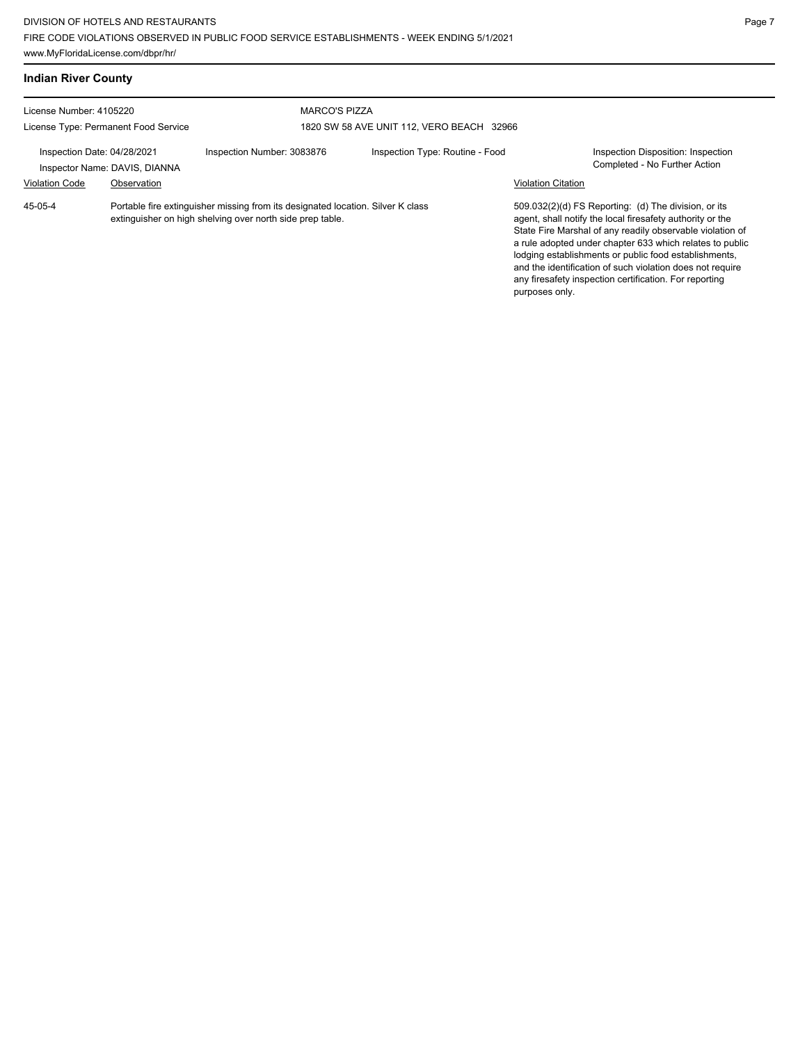**Indian River County**

| License Number: 4105220<br>License Type: Permanent Food Service |                               | <b>MARCO'S PIZZA</b>                                                                                                                         |                                           |                           |                                                                                                                                                                                                                                                                                                                                                                                                                            |
|-----------------------------------------------------------------|-------------------------------|----------------------------------------------------------------------------------------------------------------------------------------------|-------------------------------------------|---------------------------|----------------------------------------------------------------------------------------------------------------------------------------------------------------------------------------------------------------------------------------------------------------------------------------------------------------------------------------------------------------------------------------------------------------------------|
|                                                                 |                               |                                                                                                                                              | 1820 SW 58 AVE UNIT 112, VERO BEACH 32966 |                           |                                                                                                                                                                                                                                                                                                                                                                                                                            |
| Inspection Date: 04/28/2021                                     | Inspector Name: DAVIS, DIANNA | Inspection Number: 3083876                                                                                                                   | Inspection Type: Routine - Food           |                           | Inspection Disposition: Inspection<br>Completed - No Further Action                                                                                                                                                                                                                                                                                                                                                        |
| <b>Violation Code</b>                                           | Observation                   |                                                                                                                                              |                                           | <b>Violation Citation</b> |                                                                                                                                                                                                                                                                                                                                                                                                                            |
| 45-05-4                                                         |                               | Portable fire extinguisher missing from its designated location. Silver K class<br>extinguisher on high shelving over north side prep table. |                                           |                           | 509.032(2)(d) FS Reporting: (d) The division, or its<br>agent, shall notify the local firesafety authority or the<br>State Fire Marshal of any readily observable violation of<br>a rule adopted under chapter 633 which relates to public<br>lodging establishments or public food establishments,<br>and the identification of such violation does not require<br>any firesafety inspection certification. For reporting |

purposes only.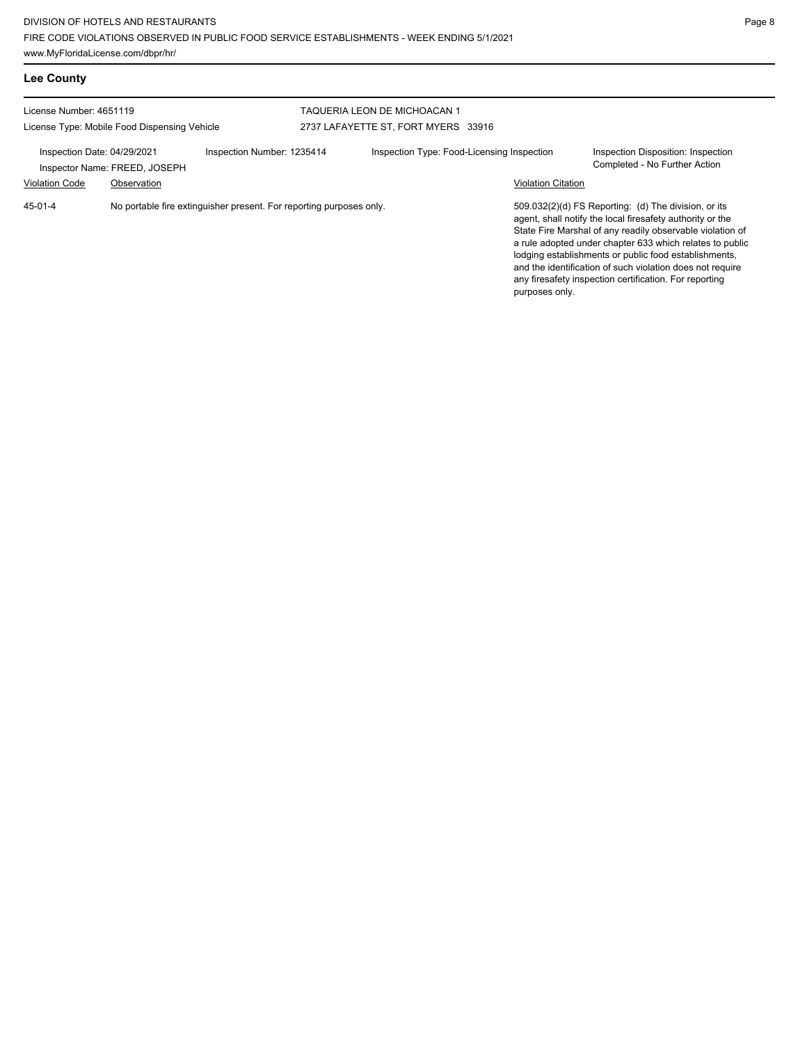| <b>Lee County</b>                                    |                                              |                                                                     |                                                                     |                           |                                                                                                                                                                                                                                                                                                                                                                                                                            |
|------------------------------------------------------|----------------------------------------------|---------------------------------------------------------------------|---------------------------------------------------------------------|---------------------------|----------------------------------------------------------------------------------------------------------------------------------------------------------------------------------------------------------------------------------------------------------------------------------------------------------------------------------------------------------------------------------------------------------------------------|
| License Number: 4651119                              | License Type: Mobile Food Dispensing Vehicle |                                                                     | TAQUERIA LEON DE MICHOACAN 1<br>2737 LAFAYETTE ST, FORT MYERS 33916 |                           |                                                                                                                                                                                                                                                                                                                                                                                                                            |
| Inspection Date: 04/29/2021<br><b>Violation Code</b> | Inspector Name: FREED, JOSEPH<br>Observation | Inspection Number: 1235414                                          | Inspection Type: Food-Licensing Inspection                          | <b>Violation Citation</b> | Inspection Disposition: Inspection<br>Completed - No Further Action                                                                                                                                                                                                                                                                                                                                                        |
| $45-01-4$                                            |                                              | No portable fire extinguisher present. For reporting purposes only. |                                                                     | purposes only.            | 509.032(2)(d) FS Reporting: (d) The division, or its<br>agent, shall notify the local firesafety authority or the<br>State Fire Marshal of any readily observable violation of<br>a rule adopted under chapter 633 which relates to public<br>lodging establishments or public food establishments,<br>and the identification of such violation does not require<br>any firesafety inspection certification. For reporting |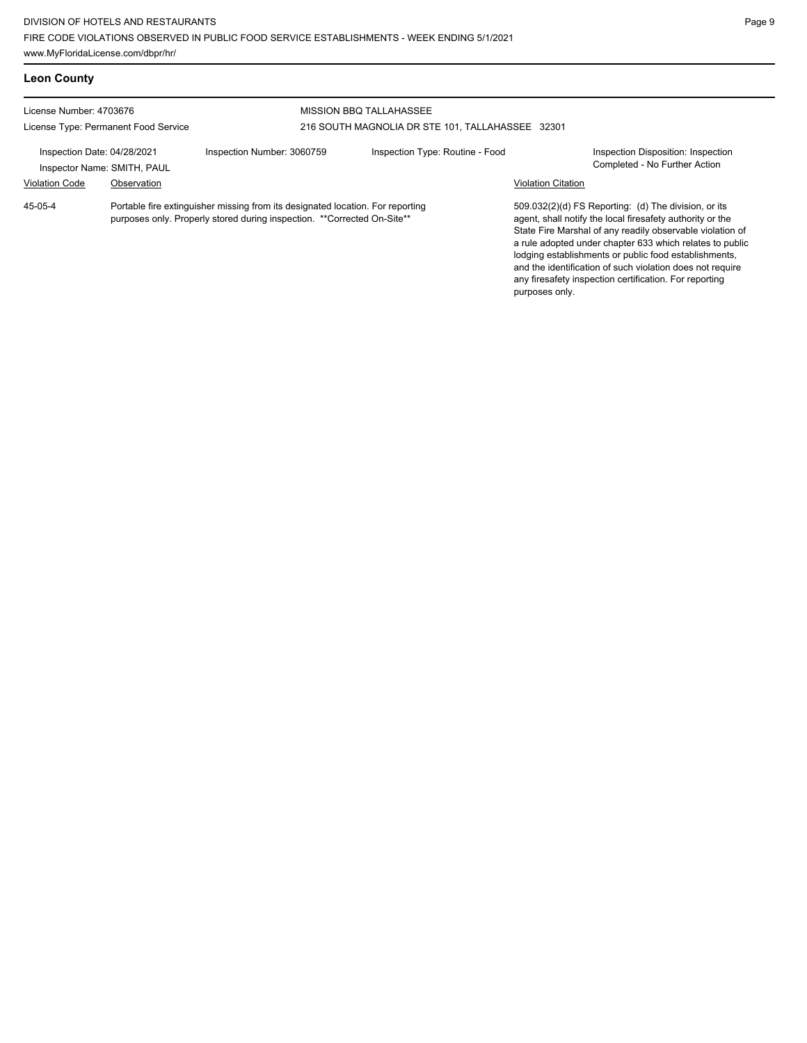www.MyFloridaLicense.com/dbpr/hr/

| <b>Leon County</b>                                                                  |             |                                                                                                                                                            |                                                                                    |                           |                                                                                                                                                                                                                                                                                                                                                                                                                            |  |  |
|-------------------------------------------------------------------------------------|-------------|------------------------------------------------------------------------------------------------------------------------------------------------------------|------------------------------------------------------------------------------------|---------------------------|----------------------------------------------------------------------------------------------------------------------------------------------------------------------------------------------------------------------------------------------------------------------------------------------------------------------------------------------------------------------------------------------------------------------------|--|--|
| License Number: 4703676<br>License Type: Permanent Food Service                     |             |                                                                                                                                                            | <b>MISSION BBQ TALLAHASSEE</b><br>216 SOUTH MAGNOLIA DR STE 101, TALLAHASSEE 32301 |                           |                                                                                                                                                                                                                                                                                                                                                                                                                            |  |  |
| Inspection Date: 04/28/2021<br>Inspector Name: SMITH, PAUL<br><b>Violation Code</b> | Observation | Inspection Number: 3060759                                                                                                                                 | Inspection Type: Routine - Food                                                    | <b>Violation Citation</b> | Inspection Disposition: Inspection<br>Completed - No Further Action                                                                                                                                                                                                                                                                                                                                                        |  |  |
| 45-05-4                                                                             |             | Portable fire extinguisher missing from its designated location. For reporting<br>purposes only. Properly stored during inspection. ** Corrected On-Site** |                                                                                    | purposes only.            | 509.032(2)(d) FS Reporting: (d) The division, or its<br>agent, shall notify the local firesafety authority or the<br>State Fire Marshal of any readily observable violation of<br>a rule adopted under chapter 633 which relates to public<br>lodging establishments or public food establishments,<br>and the identification of such violation does not require<br>any firesafety inspection certification. For reporting |  |  |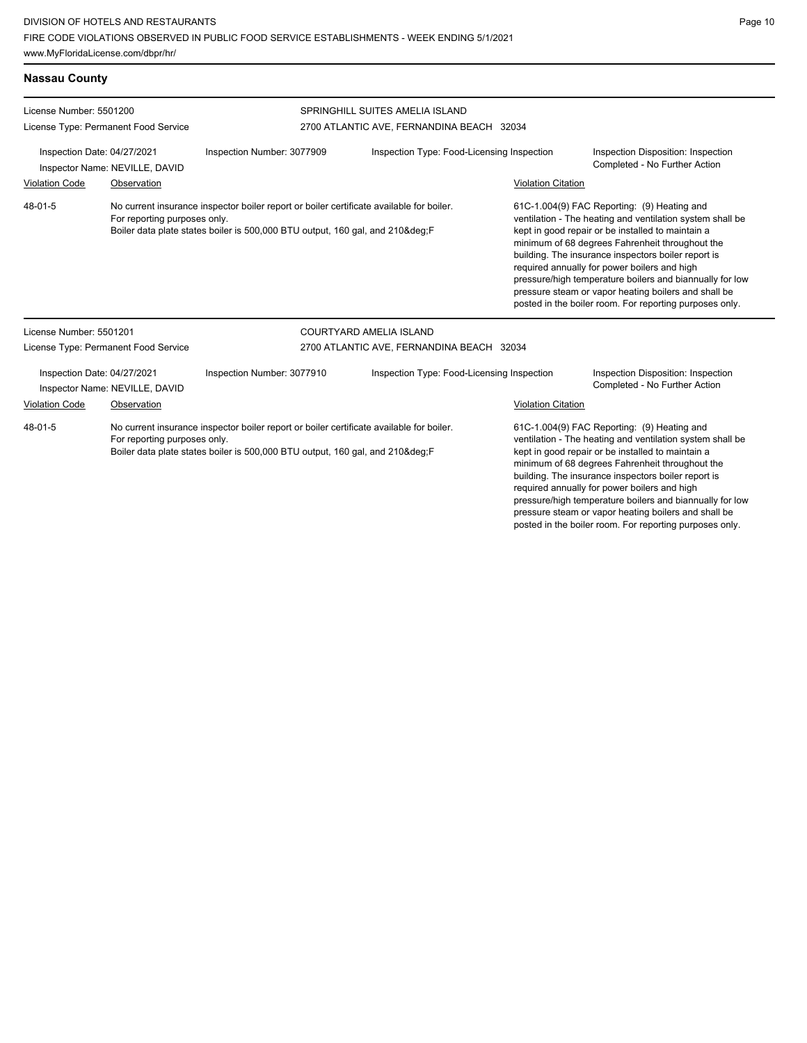pressure steam or vapor heating boilers and shall be posted in the boiler room. For reporting purposes only.

| License Number: 5501200                                                                                                                                                                                          |                                                               |                                                                                                                                                                       | SPRINGHILL SUITES AMELIA ISLAND                                         |                    |                                                                                                                                                                                                                                                                                                                                                                                                                                                                                                        |
|------------------------------------------------------------------------------------------------------------------------------------------------------------------------------------------------------------------|---------------------------------------------------------------|-----------------------------------------------------------------------------------------------------------------------------------------------------------------------|-------------------------------------------------------------------------|--------------------|--------------------------------------------------------------------------------------------------------------------------------------------------------------------------------------------------------------------------------------------------------------------------------------------------------------------------------------------------------------------------------------------------------------------------------------------------------------------------------------------------------|
|                                                                                                                                                                                                                  | License Type: Permanent Food Service                          |                                                                                                                                                                       | 2700 ATLANTIC AVE, FERNANDINA BEACH 32034                               |                    |                                                                                                                                                                                                                                                                                                                                                                                                                                                                                                        |
| Inspection Date: 04/27/2021<br>Inspector Name: NEVILLE, DAVID<br><b>Violation Code</b><br>Observation                                                                                                            |                                                               | Inspection Number: 3077909                                                                                                                                            | Inspection Type: Food-Licensing Inspection<br><b>Violation Citation</b> |                    | Inspection Disposition: Inspection<br>Completed - No Further Action                                                                                                                                                                                                                                                                                                                                                                                                                                    |
| 48-01-5<br>No current insurance inspector boiler report or boiler certificate available for boiler.<br>For reporting purposes only.<br>Boiler data plate states boiler is 500,000 BTU output, 160 gal, and 210°F |                                                               |                                                                                                                                                                       |                                                                         |                    | 61C-1.004(9) FAC Reporting: (9) Heating and<br>ventilation - The heating and ventilation system shall be<br>kept in good repair or be installed to maintain a<br>minimum of 68 degrees Fahrenheit throughout the<br>building. The insurance inspectors boiler report is<br>required annually for power boilers and high<br>pressure/high temperature boilers and biannually for low<br>pressure steam or vapor heating boilers and shall be<br>posted in the boiler room. For reporting purposes only. |
| License Number: 5501201                                                                                                                                                                                          |                                                               |                                                                                                                                                                       | <b>COURTYARD AMELIA ISLAND</b>                                          |                    |                                                                                                                                                                                                                                                                                                                                                                                                                                                                                                        |
|                                                                                                                                                                                                                  | License Type: Permanent Food Service                          |                                                                                                                                                                       | 2700 ATLANTIC AVE, FERNANDINA BEACH 32034                               |                    |                                                                                                                                                                                                                                                                                                                                                                                                                                                                                                        |
|                                                                                                                                                                                                                  | Inspection Date: 04/27/2021<br>Inspector Name: NEVILLE, DAVID | Inspection Number: 3077910                                                                                                                                            | Inspection Type: Food-Licensing Inspection                              |                    | Inspection Disposition: Inspection<br>Completed - No Further Action                                                                                                                                                                                                                                                                                                                                                                                                                                    |
| <b>Violation Code</b>                                                                                                                                                                                            | Observation                                                   |                                                                                                                                                                       |                                                                         | Violation Citation |                                                                                                                                                                                                                                                                                                                                                                                                                                                                                                        |
| 48-01-5                                                                                                                                                                                                          | For reporting purposes only.                                  | No current insurance inspector boiler report or boiler certificate available for boiler.<br>Boiler data plate states boiler is 500,000 BTU output, 160 gal, and 210°F |                                                                         |                    | 61C-1.004(9) FAC Reporting: (9) Heating and<br>ventilation - The heating and ventilation system shall be<br>kept in good repair or be installed to maintain a<br>minimum of 68 degrees Fahrenheit throughout the<br>building. The insurance inspectors boiler report is<br>required annually for power boilers and high<br>pressure/high temperature boilers and biannually for low                                                                                                                    |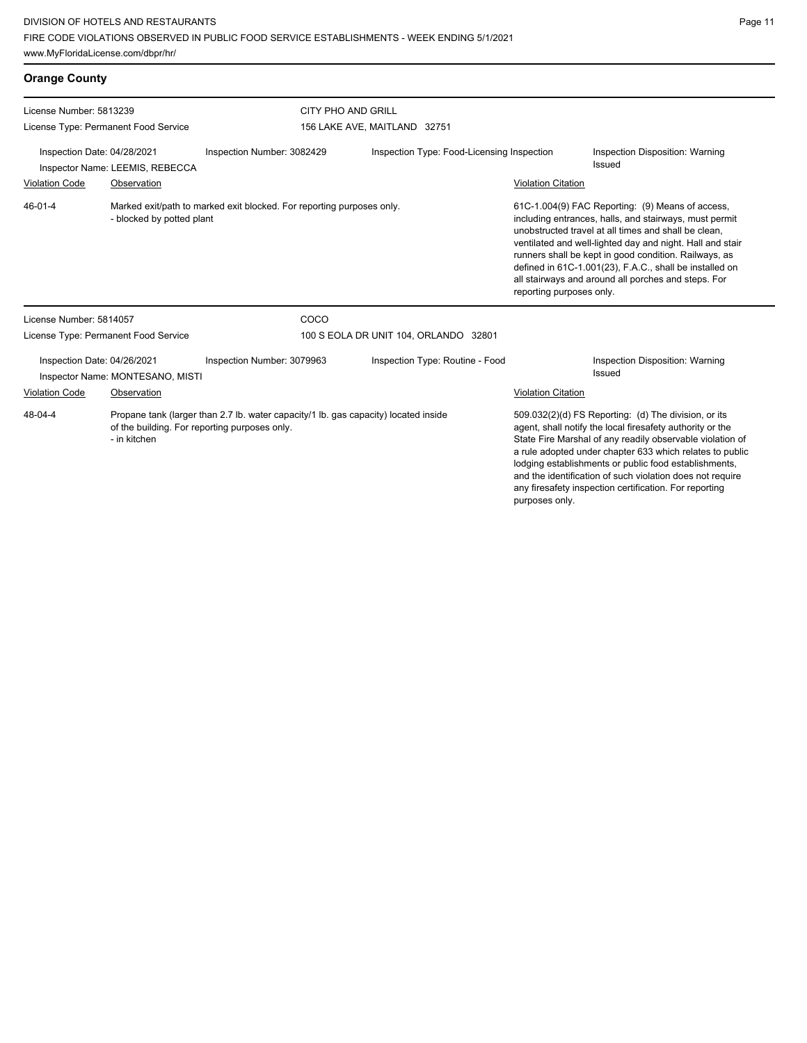lodging establishments or public food establishments, and the identification of such violation does not require any firesafety inspection certification. For reporting

purposes only.

| <b>Orange County</b>                                                                                          |                                      |                                                                                                                                      |                                            |                                                                                                                                                                                                                                                                                                                                                                                                                                        |                                                                                                                                                                                                                                            |
|---------------------------------------------------------------------------------------------------------------|--------------------------------------|--------------------------------------------------------------------------------------------------------------------------------------|--------------------------------------------|----------------------------------------------------------------------------------------------------------------------------------------------------------------------------------------------------------------------------------------------------------------------------------------------------------------------------------------------------------------------------------------------------------------------------------------|--------------------------------------------------------------------------------------------------------------------------------------------------------------------------------------------------------------------------------------------|
| License Number: 5813239                                                                                       |                                      | <b>CITY PHO AND GRILL</b>                                                                                                            |                                            |                                                                                                                                                                                                                                                                                                                                                                                                                                        |                                                                                                                                                                                                                                            |
|                                                                                                               | License Type: Permanent Food Service |                                                                                                                                      | 156 LAKE AVE, MAITLAND 32751               |                                                                                                                                                                                                                                                                                                                                                                                                                                        |                                                                                                                                                                                                                                            |
| Inspection Date: 04/28/2021                                                                                   | Inspector Name: LEEMIS, REBECCA      | Inspection Number: 3082429                                                                                                           | Inspection Type: Food-Licensing Inspection |                                                                                                                                                                                                                                                                                                                                                                                                                                        | Inspection Disposition: Warning<br>Issued                                                                                                                                                                                                  |
| <b>Violation Code</b>                                                                                         | Observation                          |                                                                                                                                      |                                            | <b>Violation Citation</b>                                                                                                                                                                                                                                                                                                                                                                                                              |                                                                                                                                                                                                                                            |
| 46-01-4<br>Marked exit/path to marked exit blocked. For reporting purposes only.<br>- blocked by potted plant |                                      |                                                                                                                                      |                                            | 61C-1.004(9) FAC Reporting: (9) Means of access,<br>including entrances, halls, and stairways, must permit<br>unobstructed travel at all times and shall be clean.<br>ventilated and well-lighted day and night. Hall and stair<br>runners shall be kept in good condition. Railways, as<br>defined in 61C-1.001(23), F.A.C., shall be installed on<br>all stairways and around all porches and steps. For<br>reporting purposes only. |                                                                                                                                                                                                                                            |
| License Number: 5814057                                                                                       |                                      | COCO                                                                                                                                 |                                            |                                                                                                                                                                                                                                                                                                                                                                                                                                        |                                                                                                                                                                                                                                            |
|                                                                                                               | License Type: Permanent Food Service |                                                                                                                                      | 100 S EOLA DR UNIT 104, ORLANDO 32801      |                                                                                                                                                                                                                                                                                                                                                                                                                                        |                                                                                                                                                                                                                                            |
| Inspection Date: 04/26/2021<br>Inspector Name: MONTESANO, MISTI                                               |                                      | Inspection Number: 3079963                                                                                                           | Inspection Type: Routine - Food            |                                                                                                                                                                                                                                                                                                                                                                                                                                        | Inspection Disposition: Warning<br>Issued                                                                                                                                                                                                  |
| <b>Violation Code</b>                                                                                         | Observation                          |                                                                                                                                      |                                            | <b>Violation Citation</b>                                                                                                                                                                                                                                                                                                                                                                                                              |                                                                                                                                                                                                                                            |
| 48-04-4                                                                                                       | - in kitchen                         | Propane tank (larger than 2.7 lb. water capacity/1 lb. gas capacity) located inside<br>of the building. For reporting purposes only. |                                            |                                                                                                                                                                                                                                                                                                                                                                                                                                        | 509.032(2)(d) FS Reporting: (d) The division, or its<br>agent, shall notify the local firesafety authority or the<br>State Fire Marshal of any readily observable violation of<br>a rule adopted under chapter 633 which relates to public |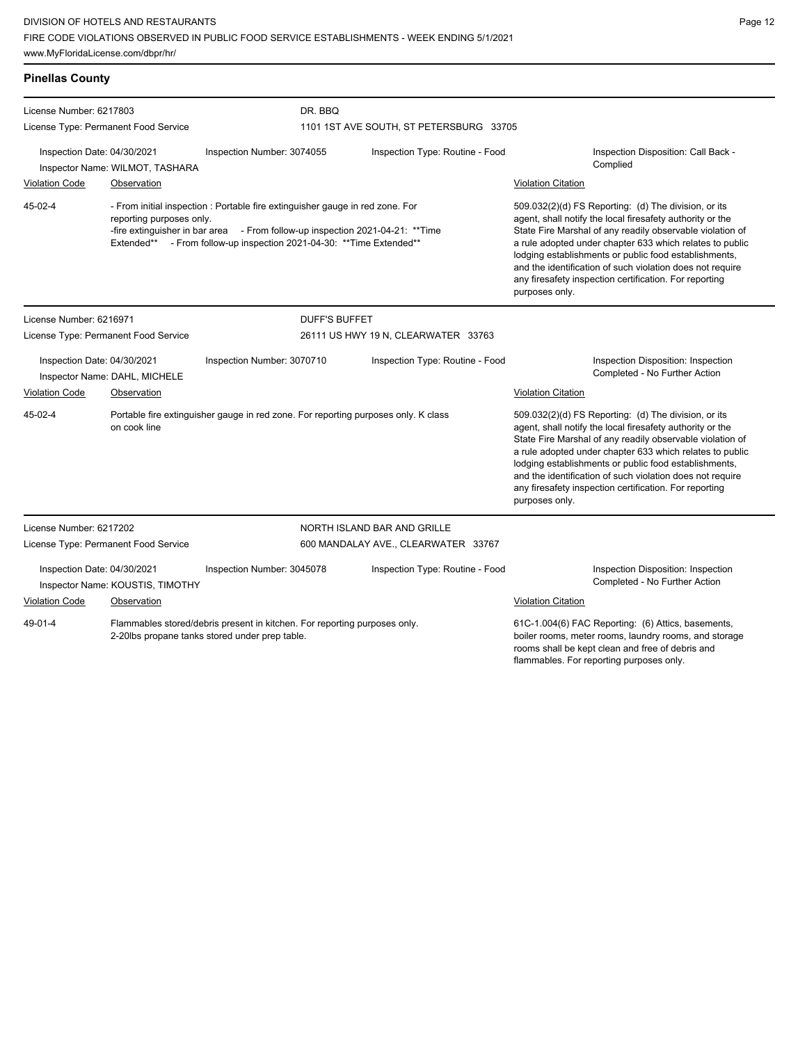| <b>Pinellas County</b>                                                                                                                                                                                                                                                           |                                                                                                    |                            |                                     |                                                                                                                                                                                                             |                                                                                                                                                                                                                                                                                                                                                                                                                                              |                                                                     |
|----------------------------------------------------------------------------------------------------------------------------------------------------------------------------------------------------------------------------------------------------------------------------------|----------------------------------------------------------------------------------------------------|----------------------------|-------------------------------------|-------------------------------------------------------------------------------------------------------------------------------------------------------------------------------------------------------------|----------------------------------------------------------------------------------------------------------------------------------------------------------------------------------------------------------------------------------------------------------------------------------------------------------------------------------------------------------------------------------------------------------------------------------------------|---------------------------------------------------------------------|
| License Number: 6217803                                                                                                                                                                                                                                                          |                                                                                                    |                            | DR. BBO                             |                                                                                                                                                                                                             |                                                                                                                                                                                                                                                                                                                                                                                                                                              |                                                                     |
|                                                                                                                                                                                                                                                                                  | License Type: Permanent Food Service                                                               |                            |                                     | 1101 1ST AVE SOUTH, ST PETERSBURG 33705                                                                                                                                                                     |                                                                                                                                                                                                                                                                                                                                                                                                                                              |                                                                     |
| Inspection Date: 04/30/2021                                                                                                                                                                                                                                                      | Inspector Name: WILMOT, TASHARA                                                                    | Inspection Number: 3074055 |                                     | Inspection Type: Routine - Food                                                                                                                                                                             | Inspection Disposition: Call Back -<br>Complied                                                                                                                                                                                                                                                                                                                                                                                              |                                                                     |
| <b>Violation Code</b>                                                                                                                                                                                                                                                            | Observation                                                                                        |                            |                                     |                                                                                                                                                                                                             | <b>Violation Citation</b>                                                                                                                                                                                                                                                                                                                                                                                                                    |                                                                     |
| $45-02-4$<br>- From initial inspection : Portable fire extinguisher gauge in red zone. For<br>reporting purposes only.<br>-fire extinguisher in bar area - From follow-up inspection 2021-04-21: **Time<br>Extended** - From follow-up inspection 2021-04-30: ** Time Extended** |                                                                                                    |                            |                                     |                                                                                                                                                                                                             | 509.032(2)(d) FS Reporting: (d) The division, or its<br>agent, shall notify the local firesafety authority or the<br>State Fire Marshal of any readily observable violation of<br>a rule adopted under chapter 633 which relates to public<br>lodging establishments or public food establishments,<br>and the identification of such violation does not require<br>any firesafety inspection certification. For reporting<br>purposes only. |                                                                     |
| License Number: 6216971                                                                                                                                                                                                                                                          |                                                                                                    |                            | <b>DUFF'S BUFFET</b>                |                                                                                                                                                                                                             |                                                                                                                                                                                                                                                                                                                                                                                                                                              |                                                                     |
| License Type: Permanent Food Service                                                                                                                                                                                                                                             |                                                                                                    |                            | 26111 US HWY 19 N, CLEARWATER 33763 |                                                                                                                                                                                                             |                                                                                                                                                                                                                                                                                                                                                                                                                                              |                                                                     |
| Inspection Date: 04/30/2021<br>Inspector Name: DAHL, MICHELE                                                                                                                                                                                                                     |                                                                                                    | Inspection Number: 3070710 |                                     | Inspection Type: Routine - Food                                                                                                                                                                             |                                                                                                                                                                                                                                                                                                                                                                                                                                              | Inspection Disposition: Inspection<br>Completed - No Further Action |
| <b>Violation Code</b>                                                                                                                                                                                                                                                            | Observation                                                                                        |                            |                                     |                                                                                                                                                                                                             | <b>Violation Citation</b>                                                                                                                                                                                                                                                                                                                                                                                                                    |                                                                     |
| 45-02-4                                                                                                                                                                                                                                                                          | Portable fire extinguisher gauge in red zone. For reporting purposes only. K class<br>on cook line |                            |                                     | purposes only.                                                                                                                                                                                              | 509.032(2)(d) FS Reporting: (d) The division, or its<br>agent, shall notify the local firesafety authority or the<br>State Fire Marshal of any readily observable violation of<br>a rule adopted under chapter 633 which relates to public<br>lodging establishments or public food establishments,<br>and the identification of such violation does not require<br>any firesafety inspection certification. For reporting                   |                                                                     |
| License Number: 6217202                                                                                                                                                                                                                                                          |                                                                                                    |                            |                                     | NORTH ISLAND BAR AND GRILLE                                                                                                                                                                                 |                                                                                                                                                                                                                                                                                                                                                                                                                                              |                                                                     |
|                                                                                                                                                                                                                                                                                  | License Type: Permanent Food Service                                                               |                            | 600 MANDALAY AVE., CLEARWATER 33767 |                                                                                                                                                                                                             |                                                                                                                                                                                                                                                                                                                                                                                                                                              |                                                                     |
| Inspection Date: 04/30/2021<br>Inspector Name: KOUSTIS, TIMOTHY                                                                                                                                                                                                                  |                                                                                                    | Inspection Number: 3045078 | Inspection Type: Routine - Food     |                                                                                                                                                                                                             | Inspection Disposition: Inspection<br>Completed - No Further Action                                                                                                                                                                                                                                                                                                                                                                          |                                                                     |
| <b>Violation Code</b>                                                                                                                                                                                                                                                            | Observation                                                                                        |                            |                                     |                                                                                                                                                                                                             | <b>Violation Citation</b>                                                                                                                                                                                                                                                                                                                                                                                                                    |                                                                     |
| Flammables stored/debris present in kitchen. For reporting purposes only.<br>49-01-4<br>2-20lbs propane tanks stored under prep table.                                                                                                                                           |                                                                                                    |                            |                                     | 61C-1.004(6) FAC Reporting: (6) Attics, basements,<br>boiler rooms, meter rooms, laundry rooms, and storage<br>rooms shall be kept clean and free of debris and<br>flammables. For reporting purposes only. |                                                                                                                                                                                                                                                                                                                                                                                                                                              |                                                                     |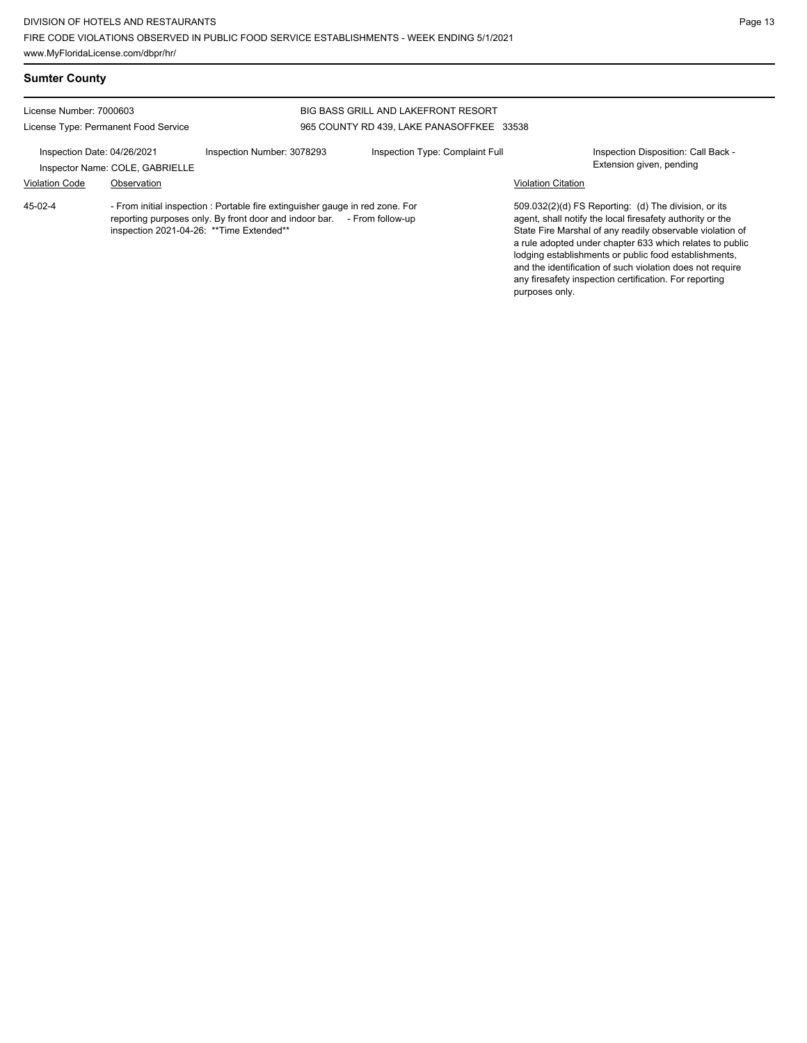| <b>Sumter County</b>                                            |                                                |                                                                                                                                                          |                                                                                         |                           |                                                                                                                                                                                                                                                                                                                                                                                                                            |
|-----------------------------------------------------------------|------------------------------------------------|----------------------------------------------------------------------------------------------------------------------------------------------------------|-----------------------------------------------------------------------------------------|---------------------------|----------------------------------------------------------------------------------------------------------------------------------------------------------------------------------------------------------------------------------------------------------------------------------------------------------------------------------------------------------------------------------------------------------------------------|
| License Number: 7000603<br>License Type: Permanent Food Service |                                                |                                                                                                                                                          | <b>BIG BASS GRILL AND LAKEFRONT RESORT</b><br>965 COUNTY RD 439, LAKE PANASOFFKEE 33538 |                           |                                                                                                                                                                                                                                                                                                                                                                                                                            |
| Inspection Date: 04/26/2021<br><b>Violation Code</b>            | Inspector Name: COLE, GABRIELLE<br>Observation | Inspection Number: 3078293                                                                                                                               | Inspection Type: Complaint Full                                                         | <b>Violation Citation</b> | Inspection Disposition: Call Back -<br>Extension given, pending                                                                                                                                                                                                                                                                                                                                                            |
| 45-02-4                                                         | inspection 2021-04-26: ** Time Extended**      | - From initial inspection : Portable fire extinguisher gauge in red zone. For<br>reporting purposes only. By front door and indoor bar. - From follow-up |                                                                                         | purposes only.            | 509.032(2)(d) FS Reporting: (d) The division, or its<br>agent, shall notify the local firesafety authority or the<br>State Fire Marshal of any readily observable violation of<br>a rule adopted under chapter 633 which relates to public<br>lodging establishments or public food establishments,<br>and the identification of such violation does not require<br>any firesafety inspection certification. For reporting |